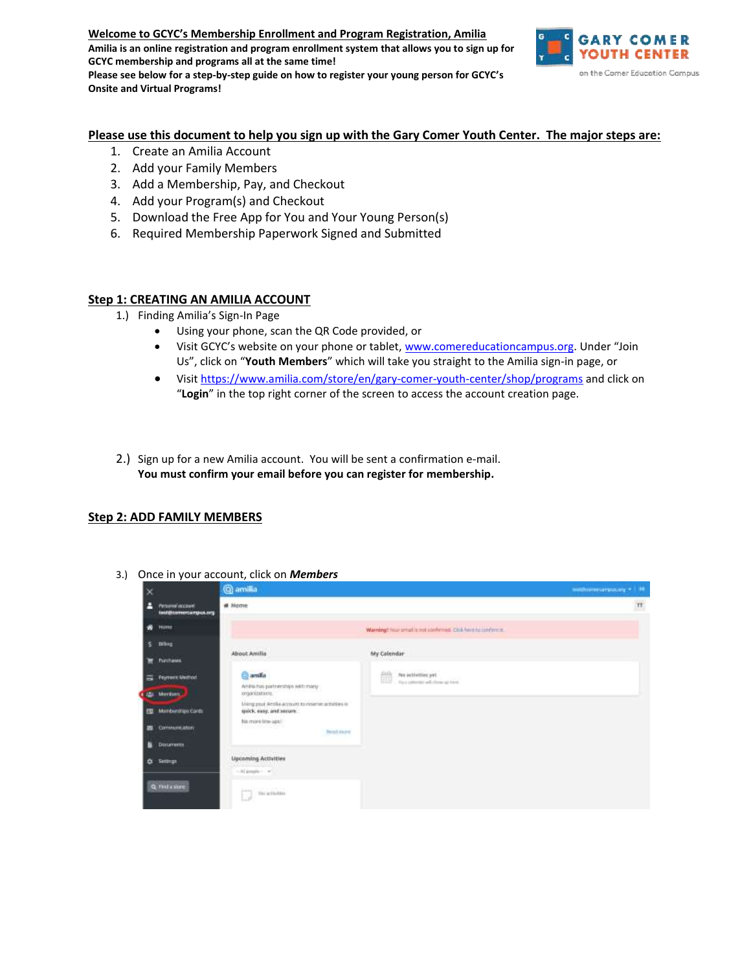**Welcome to GCYC's Membership Enrollment and Program Registration, Amilia Amilia is an online registration and program enrollment system that allows you to sign up for GCYC membership and programs all at the same time! Please see below for a step-by-step guide on how to register your young person for GCYC's Onsite and Virtual Programs!** 



## **Please use this document to help you sign up with the Gary Comer Youth Center. The major steps are:**

- 1. Create an Amilia Account
- 2. Add your Family Members
- 3. Add a Membership, Pay, and Checkout
- 4. Add your Program(s) and Checkout
- 5. Download the Free App for You and Your Young Person(s)
- 6. Required Membership Paperwork Signed and Submitted

## **Step 1: CREATING AN AMILIA ACCOUNT**

- 1.) Finding Amilia's Sign-In Page
	- Using your phone, scan the QR Code provided, or
	- Visit GCYC's website on your phone or tablet, [www.comereducationcampus.org](http://www.comereducationcampus.org/). Under "Join Us", click on "**Youth Members**" which will take you straight to the Amilia sign-in page, or
	- Visit<https://www.amilia.com/store/en/gary-comer-youth-center/shop/programs> and click on "**Login**" in the top right corner of the screen to access the account creation page.
- 2.) Sign up for a new Amilia account. You will be sent a confirmation e-mail. **You must confirm your email before you can register for membership.**

#### **Step 2: ADD FAMILY MEMBERS**

3.) Once in your account, click on *Members*

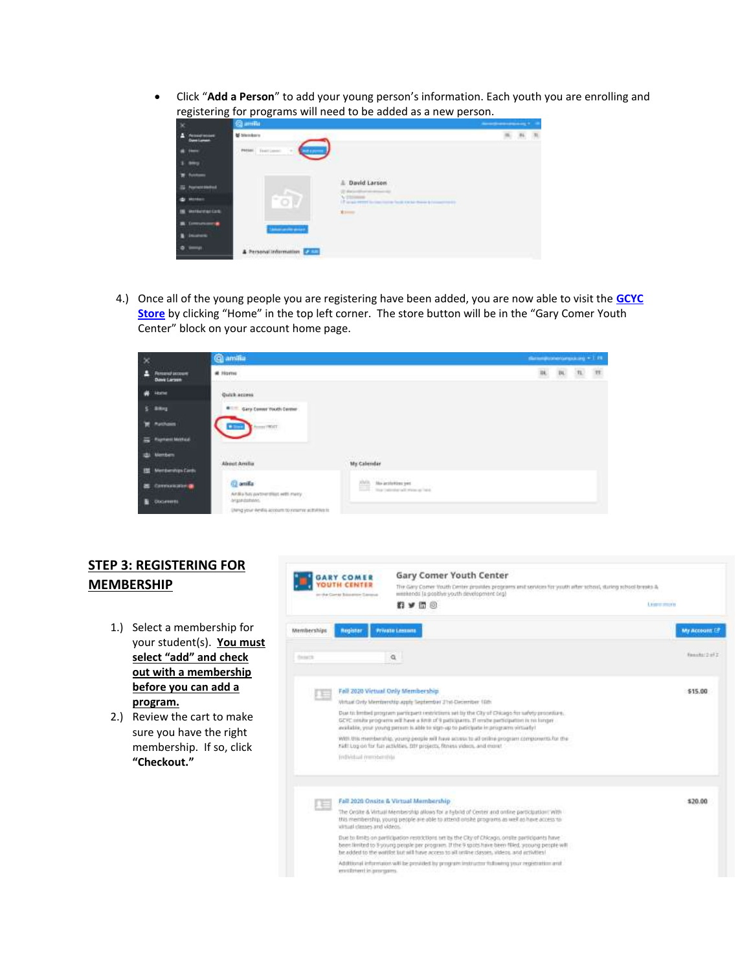Click "**Add a Person**" to add your young person's information. Each youth you are enrolling and registering for programs will need to be added as a new person.



4.) Once all of the young people you are registering have been added, you are now able to visit the **[GCYC](https://www.amilia.com/store/en/gary-comer-youth-center/shop/memberships?)  [Store](https://www.amilia.com/store/en/gary-comer-youth-center/shop/memberships?)** by clicking "Home" in the top left corner. The store button will be in the "Gary Comer Youth Center" block on your account home page.

| $\infty$                                                                             | <b>Q</b> amilia                                                     |                                                                                                                                 | diameterization pursuit + 1.19. |                |               |                |
|--------------------------------------------------------------------------------------|---------------------------------------------------------------------|---------------------------------------------------------------------------------------------------------------------------------|---------------------------------|----------------|---------------|----------------|
| <b>Firmanial process</b><br>д<br>Dave Limout                                         | at Home                                                             |                                                                                                                                 | m.                              | $\mathfrak{m}$ | $\mathfrak n$ | $\mathfrak{m}$ |
| $46$ -long                                                                           | <b>CONTRACTOR</b><br>Quick access                                   |                                                                                                                                 |                                 |                |               |                |
| $5 - 38$                                                                             | <b>BEE Gary Comer Youth Comer</b>                                   |                                                                                                                                 |                                 |                |               |                |
| <b>R</b> Pathons                                                                     | $-1.001$                                                            |                                                                                                                                 |                                 |                |               |                |
| To Payment Mothand                                                                   |                                                                     |                                                                                                                                 |                                 |                |               |                |
| all Members                                                                          | <b>Management</b>                                                   | <b>WEIGHT TOWE</b>                                                                                                              |                                 |                |               |                |
| <b>Sales Court Commercial Inc.</b><br><b>B Metherings Cards</b><br><b>CONTRACTOR</b> | About Amila                                                         | <b>My Calendar</b>                                                                                                              |                                 |                |               |                |
| Companience<br>$\overline{\phantom{a}}$                                              | <b>C</b> anifa                                                      | $\begin{tabular}{ c c c } \hline $a(b)$ & \textbf{As} arbitrary jet \\ \hline \hline \end{tabular}$<br>the permanent managings. |                                 |                |               |                |
| <b>COLAVES</b><br><b>CONTRACTOR</b>                                                  | Ardia has partnerships with many<br>degraphines, the control of the |                                                                                                                                 |                                 |                |               |                |
|                                                                                      | Living your Writte account to nimitive activities is                |                                                                                                                                 |                                 |                |               |                |

# **STEP 3: REGISTERING FOR MEMBERSHIP**

- 1.) Select a membership for your student(s). **You must select "add" and check out with a membership before you can add a program.**
- 2.) Review the cart to make sure you have the right membership. If so, click **"Checkout."**

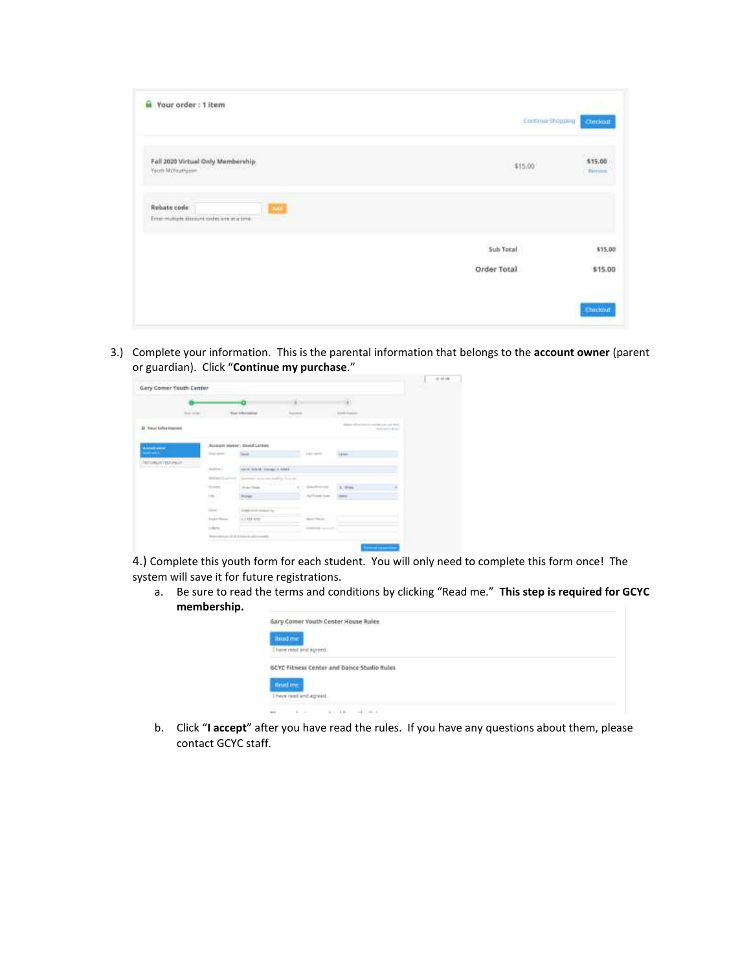|                                                                            | Continue Shopping                                   | Checkout                  |
|----------------------------------------------------------------------------|-----------------------------------------------------|---------------------------|
| Fall 2020 Virtual Only Membership<br>Youri McYauthplan                     | \$15.00                                             | \$15.00<br><b>British</b> |
| Rebate code<br><b>AGGE</b><br>Erear-multiple discount codes one at a time. |                                                     |                           |
|                                                                            | rossessers.c.<br>Sub Total<br>1 1 1 1 1 1 1 1 1 1 1 | \$15.00<br>11,992         |
|                                                                            | Order Total                                         | \$15.00                   |
|                                                                            |                                                     |                           |

3.) Complete your information. This is the parental information that belongs to the **account owner** (parent or guardian). Click "**Continue my purchase**."

|                                                         |          |                          | ö                                                                                  | ă |                            | a.                                       |                |  |
|---------------------------------------------------------|----------|--------------------------|------------------------------------------------------------------------------------|---|----------------------------|------------------------------------------|----------------|--|
|                                                         | for what |                          | <b>This information</b>                                                            |   |                            | EMHAM                                    |                |  |
| <b>&amp; Tour Helenwares</b>                            |          |                          |                                                                                    |   |                            | space all to loan to minds has not find. | Automotive Art |  |
| <b><i><u>Committee Committee</u></i></b>                |          |                          | Account boyer: Breit Lampy                                                         |   | DOM: NO                    |                                          |                |  |
| <b>STATISTICS</b>                                       |          | <b>Should reciprent</b>  | <b>Send</b>                                                                        |   | The property and           | <b>Line</b>                              |                |  |
| <b>CONJACTED/JONJA</b><br>the property of a contract of |          | $-40000$<br>statement 1. | <b>The Company's Company's Company's Company's</b><br>carse are in compact to an a |   |                            |                                          |                |  |
|                                                         |          | the Pract 21 and         | harmonic ages and leading then are                                                 |   |                            |                                          |                |  |
|                                                         |          | Transity                 | <b>Print Ford</b><br><b>Contract Contract</b>                                      | ۰ | ---                        | 1,999                                    | ٠<br>æ         |  |
|                                                         |          | 긊                        | <b>Hinks</b>                                                                       |   | <b>Defined Com-</b>        | $\frac{1}{2}$                            |                |  |
|                                                         |          | <b>SALE</b>              | <b>CONTRACTOR</b>                                                                  |   |                            |                                          |                |  |
|                                                         |          | <b>Sale Form</b>         | 23144400                                                                           |   | card Scott<br>March March  |                                          |                |  |
|                                                         |          | <b>CAN</b>               |                                                                                    |   | <b>SERVICE AND CONTROL</b> |                                          |                |  |

4.) Complete this youth form for each student. You will only need to complete this form once! The system will save it for future registrations.

a. Be sure to read the terms and conditions by clicking "Read me." **This step is required for GCYC membership.**

| ×                                                 |                        | Gary Comer Youth Center House Rules |  |
|---------------------------------------------------|------------------------|-------------------------------------|--|
|                                                   | <b>Road mir</b>        |                                     |  |
|                                                   | terror not and appeal. |                                     |  |
|                                                   |                        |                                     |  |
| <b>GCYC Fitness Center and Dance Studio Rules</b> |                        |                                     |  |
|                                                   |                        |                                     |  |
| <b>Bristline</b>                                  |                        |                                     |  |

b. Click "**I accept**" after you have read the rules. If you have any questions about them, please contact GCYC staff.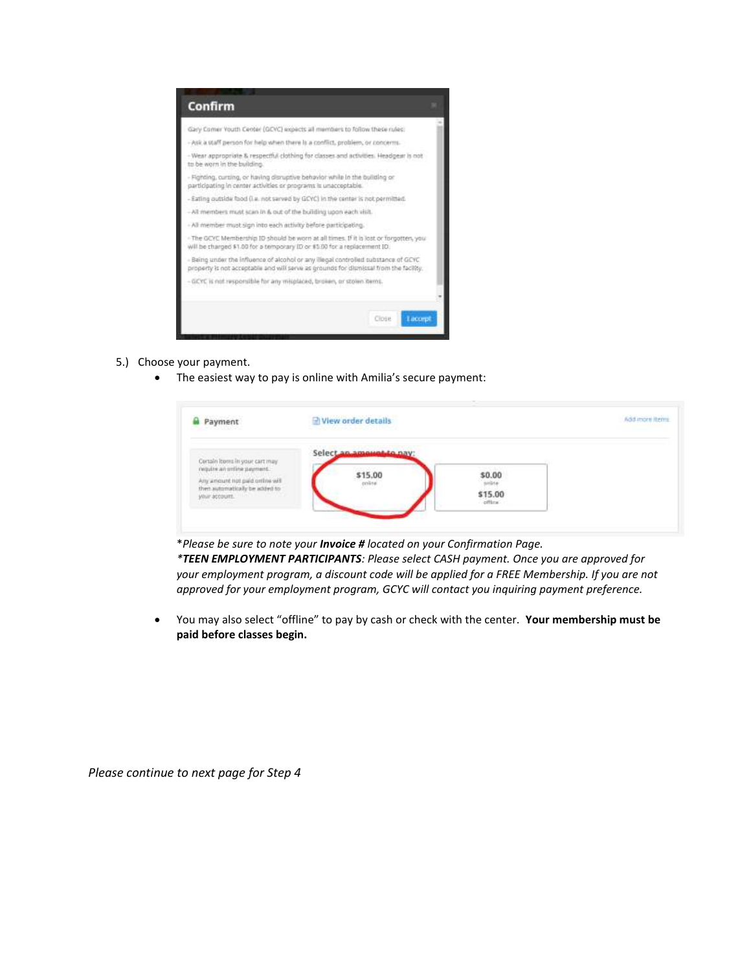| Confirm                                                                                                                                                                     |        |
|-----------------------------------------------------------------------------------------------------------------------------------------------------------------------------|--------|
| Gary Comer Youth Center (GCYC) expects all members to follow these rules:                                                                                                   |        |
| - Ask a staff person for help when there is a conflict, problem, or concerns.                                                                                               |        |
| - Wear appropriate & respectful clothing for classes and activities. Headgear is not<br>to be worn in the building.                                                         |        |
| - Fighting, cursing, or having disruptive behavior while in the building or<br>participating in center activities or programs is unacceptable.                              |        |
| - Eatling outside food (i.e. not served by GCYC) in the center is not permitted.                                                                                            |        |
| - All members must scan in & out of the building upon each sish.                                                                                                            |        |
| - All member must sign into each activity before participating.                                                                                                             |        |
| - The GCYC Membership ID should be wonn at all times. If it is lost or forgotten, you<br>will be charged \$1.00 for a temporary (D or \$5.00 for a replacement ID.)         |        |
| - Baing under the influence of alcohol or any illegal controlled substance of GCYC<br>property is not acceptable and will serve as grounds for dismissal from the facility. |        |
| - GCYC is not responsible for any misplaced, broken, or stolen items.                                                                                                       |        |
|                                                                                                                                                                             |        |
| Ciose                                                                                                                                                                       | Taccep |
|                                                                                                                                                                             |        |

#### 5.) Choose your payment.

The easiest way to pay is online with Amilia's secure payment:

| Payment<br><b>CONTRACTOR</b> IN A 2005 FOR                                                                                                                                              | I View order details<br>and the party of the following the company of the party of the company of the company of |                                              | Add more items: |
|-----------------------------------------------------------------------------------------------------------------------------------------------------------------------------------------|------------------------------------------------------------------------------------------------------------------|----------------------------------------------|-----------------|
| Certain Items in your cart may.<br>negutes an ordine payment.<br>Any amount not paid online will<br>then automatically be added to<br>your account. The company of<br><b>CONTRACTOR</b> | an ampumble nay<br>Select<br>$$15.00$ $^{\rm noise}_{\rm noise}$                                                 | \$0.00<br><b>Seleta</b><br>\$15.00<br>office |                 |

\**Please be sure to note your Invoice # located on your Confirmation Page.* 

*\*TEEN EMPLOYMENT PARTICIPANTS: Please select CASH payment. Once you are approved for your employment program, a discount code will be applied for a FREE Membership. If you are not approved for your employment program, GCYC will contact you inquiring payment preference.* 

 You may also select "offline" to pay by cash or check with the center. **Your membership must be paid before classes begin.**

*Please continue to next page for Step 4*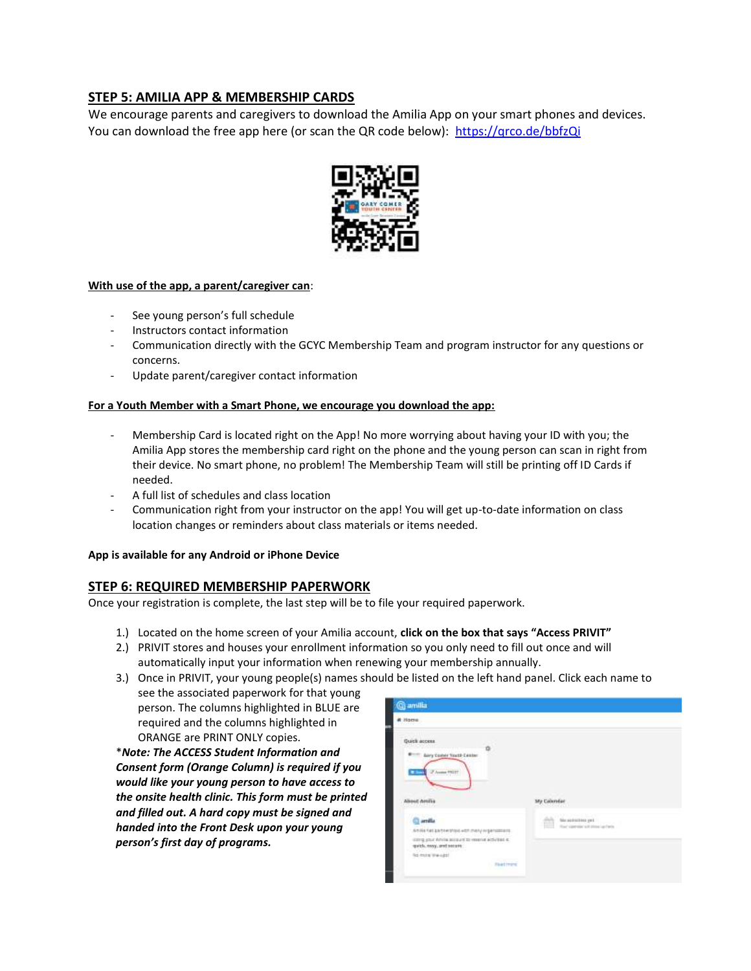# **STEP 5: AMILIA APP & MEMBERSHIP CARDS**

We encourage parents and caregivers to download the Amilia App on your smart phones and devices. You can download the free app here (or scan the QR code below): <https://qrco.de/bbfzQi>



#### **With use of the app, a parent/caregiver can**:

- See young person's full schedule
- Instructors contact information
- Communication directly with the GCYC Membership Team and program instructor for any questions or concerns.
- Update parent/caregiver contact information

#### **For a Youth Member with a Smart Phone, we encourage you download the app:**

- Membership Card is located right on the App! No more worrying about having your ID with you; the Amilia App stores the membership card right on the phone and the young person can scan in right from their device. No smart phone, no problem! The Membership Team will still be printing off ID Cards if needed.
- A full list of schedules and class location
- Communication right from your instructor on the app! You will get up-to-date information on class location changes or reminders about class materials or items needed.

#### **App is available for any Android or iPhone Device**

#### **STEP 6: REQUIRED MEMBERSHIP PAPERWORK**

Once your registration is complete, the last step will be to file your required paperwork.

- 1.) Located on the home screen of your Amilia account, **click on the box that says "Access PRIVIT"**
- 2.) PRIVIT stores and houses your enrollment information so you only need to fill out once and will automatically input your information when renewing your membership annually.
- 3.) Once in PRIVIT, your young people(s) names should be listed on the left hand panel. Click each name to
- see the associated paperwork for that young person. The columns highlighted in BLUE are required and the columns highlighted in ORANGE are PRINT ONLY copies.

\**Note: The ACCESS Student Information and Consent form (Orange Column) is required if you would like your young person to have access to the onsite health clinic. This form must be printed and filled out. A hard copy must be signed and handed into the Front Desk upon your young person's first day of programs.*

| <b>Q</b> amilia                                                                                    |                                                            |
|----------------------------------------------------------------------------------------------------|------------------------------------------------------------|
| # Home                                                                                             |                                                            |
| Queli access.<br>о<br><b>Britten Avery Council Youth Center</b><br>$\blacksquare$<br>U Assess HATT |                                                            |
| Alieut Amilia                                                                                      | My Colendar                                                |
| <b>CERTIFICATE</b><br>C amilla<br>Anile fat antremova with meny repensations                       | Me astrolini yei<br>龠<br>that's person will store up their |
| (String your Article account to reserve activities is<br>quick, neay, and sensels.                 |                                                            |
| to may thought<br>THE EXPERIMENT<br>. Ford from                                                    |                                                            |